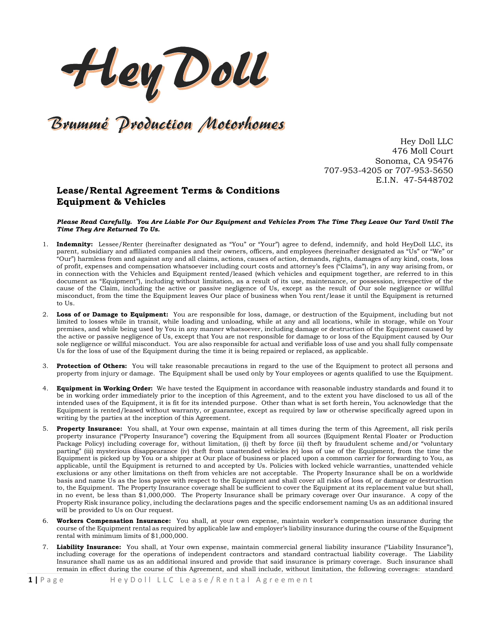HeyDoll

## Brummé Production Motorhomes

Hey Doll LLC 476 Moll Court Sonoma, CA 95476 707-953-4205 or 707-953-5650 E.I.N. 47-5448702

## Lease/Rental Agreement Terms & Conditions Equipment & Vehicles

Please Read Carefully. You Are Liable For Our Equipment and Vehicles From The Time They Leave Our Yard Until The Time They Are Returned To Us.

- 1. Indemnity: Lessee/Renter (hereinafter designated as "You" or "Your") agree to defend, indemnify, and hold HeyDoll LLC, its parent, subsidiary and affiliated companies and their owners, officers, and employees (hereinafter designated as "Us" or "We" or "Our") harmless from and against any and all claims, actions, causes of action, demands, rights, damages of any kind, costs, loss of profit, expenses and compensation whatsoever including court costs and attorney's fees ("Claims"), in any way arising from, or in connection with the Vehicles and Equipment rented/leased (which vehicles and equipment together, are referred to in this document as "Equipment"), including without limitation, as a result of its use, maintenance, or possession, irrespective of the cause of the Claim, including the active or passive negligence of Us, except as the result of Our sole negligence or willful misconduct, from the time the Equipment leaves Our place of business when You rent/lease it until the Equipment is returned to Us.
- 2. Loss of or Damage to Equipment: You are responsible for loss, damage, or destruction of the Equipment, including but not limited to losses while in transit, while loading and unloading, while at any and all locations, while in storage, while on Your premises, and while being used by You in any manner whatsoever, including damage or destruction of the Equipment caused by the active or passive negligence of Us, except that You are not responsible for damage to or loss of the Equipment caused by Our sole negligence or willful misconduct. You are also responsible for actual and verifiable loss of use and you shall fully compensate Us for the loss of use of the Equipment during the time it is being repaired or replaced, as applicable.
- 3. Protection of Others: You will take reasonable precautions in regard to the use of the Equipment to protect all persons and property from injury or damage. The Equipment shall be used only by Your employees or agents qualified to use the Equipment.
- 4. Equipment in Working Order: We have tested the Equipment in accordance with reasonable industry standards and found it to be in working order immediately prior to the inception of this Agreement, and to the extent you have disclosed to us all of the intended uses of the Equipment, it is fit for its intended purpose. Other than what is set forth herein, You acknowledge that the Equipment is rented/leased without warranty, or guarantee, except as required by law or otherwise specifically agreed upon in writing by the parties at the inception of this Agreement.
- 5. Property Insurance: You shall, at Your own expense, maintain at all times during the term of this Agreement, all risk perils property insurance ("Property Insurance") covering the Equipment from all sources (Equipment Rental Floater or Production Package Policy) including coverage for, without limitation, (i) theft by force (ii) theft by fraudulent scheme and/or "voluntary parting" (iii) mysterious disappearance (iv) theft from unattended vehicles (v) loss of use of the Equipment, from the time the Equipment is picked up by You or a shipper at Our place of business or placed upon a common carrier for forwarding to You, as applicable, until the Equipment is returned to and accepted by Us. Policies with locked vehicle warranties, unattended vehicle exclusions or any other limitations on theft from vehicles are not acceptable. The Property Insurance shall be on a worldwide basis and name Us as the loss payee with respect to the Equipment and shall cover all risks of loss of, or damage or destruction to, the Equipment. The Property Insurance coverage shall be sufficient to cover the Equipment at its replacement value but shall, in no event, be less than \$1,000,000. The Property Insurance shall be primary coverage over Our insurance. A copy of the Property Risk insurance policy, including the declarations pages and the specific endorsement naming Us as an additional insured will be provided to Us on Our request.
- 6. Workers Compensation Insurance: You shall, at your own expense, maintain worker's compensation insurance during the course of the Equipment rental as required by applicable law and employer's liability insurance during the course of the Equipment rental with minimum limits of \$1,000,000.
- 7. Liability Insurance: You shall, at Your own expense, maintain commercial general liability insurance ("Liability Insurance"), including coverage for the operations of independent contractors and standard contractual liability coverage. The Liability Insurance shall name us as an additional insured and provide that said insurance is primary coverage. Such insurance shall remain in effect during the course of this Agreement, and shall include, without limitation, the following coverages: standard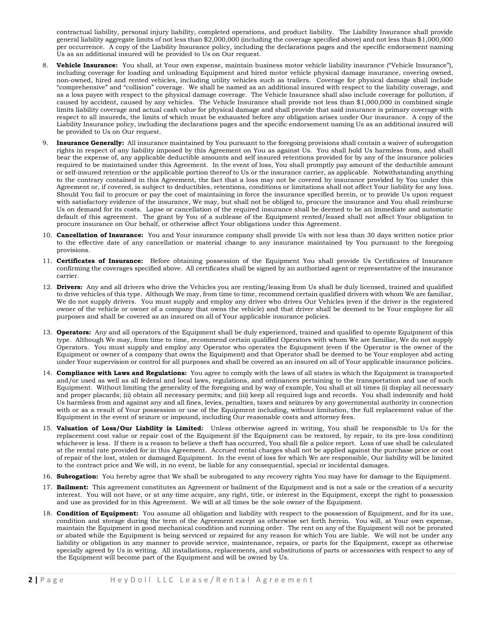contractual liability, personal injury liability, completed operations, and product liability. The Liability Insurance shall provide general liability aggregate limits of not less than \$2,000,000 (including the coverage specified above) and not less than \$1,000,000 per occurrence. A copy of the Liability Insurance policy, including the declarations pages and the specific endorsement naming Us as an additional insured will be provided to Us on Our request.

- 8. Vehicle Insurance: You shall, at Your own expense, maintain business motor vehicle liability insurance ("Vehicle Insurance"), including coverage for loading and unloading Equipment and hired motor vehicle physical damage insurance, covering owned, non-owned, hired and rented vehicles, including utility vehicles such as trailers. Coverage for physical damage shall include "comprehensive" and "collision" coverage. We shall be named as an additional insured with respect to the liability coverage, and as a loss payee with respect to the physical damage coverage. The Vehicle Insurance shall also include coverage for pollution, if caused by accident, caused by any vehicles. The Vehicle Insurance shall provide not less than \$1,000,000 in combined single limits liability coverage and actual cash value for physical damage and shall provide that said insurance is primary coverage with respect to all insureds, the limits of which must be exhausted before any obligation arises under Our insurance. A copy of the Liability Insurance policy, including the declarations pages and the specific endorsement naming Us as an additional insured will be provided to Us on Our request.
- 9. Insurance Generally: All insurance maintained by You pursuant to the foregoing provisions shall contain a waiver of subrogation rights in respect of any liability imposed by this Agreement on You as against Us. You shall hold Us harmless from, and shall bear the expense of, any applicable deductible amounts and self insured retentions provided for by any of the insurance policies required to be maintained under this Agreement. In the event of loss, You shall promptly pay amount of the deductible amount or self-insured retention or the applicable portion thereof to Us or the insurance carrier, as applicable. Notwithstanding anything to the contrary contained in this Agreement, the fact that a loss may not be covered by insurance provided by You under this Agreement or, if covered, is subject to deductibles, retentions, conditions or limitations shall not affect Your liability for any loss. Should You fail to procure or pay the cost of maintaining in force the insurance specified herein, or to provide Us upon request with satisfactory evidence of the insurance, We may, but shall not be obliged to, procure the insurance and You shall reimburse Us on demand for its costs. Lapse or cancellation of the required insurance shall be deemed to be an immediate and automatic default of this agreement. The grant by You of a sublease of the Equipment rented/leased shall not affect Your obligation to procure insurance on Our behalf, or otherwise affect Your obligations under this Agreement.
- 10. Cancellation of Insurance: You and Your insurance company shall provide Us with not less than 30 days written notice prior to the effective date of any cancellation or material change to any insurance maintained by You pursuant to the foregoing provisions.
- 11. Certificates of Insurance: Before obtaining possession of the Equipment You shall provide Us Certificates of Insurance confirming the coverages specified above. All certificates shall be signed by an authorized agent or representative of the insurance carrier.
- 12. Drivers: Any and all drivers who drive the Vehicles you are renting/leasing from Us shall be duly licensed, trained and qualified to drive vehicles of this type. Although We may, from time to time, recommend certain qualified drivers with whom We are familiar, We do not supply drivers. You must supply and employ any driver who drives Our Vehicles (even if the driver is the registered owner of the vehicle or owner of a company that owns the vehicle) and that driver shall be deemed to be Your employee for all purposes and shall be covered as an insured on all of Your applicable insurance policies.
- 13. **Operators:** Any and all operators of the Equipment shall be duly experienced, trained and qualified to operate Equipment of this type. Although We may, from time to time, recommend certain qualified Operators with whom We are familiar, We do not supply Operators. You must supply and employ any Operator who operates the Eqiupment (even if the Operator is the owner of the Equipment or owner of a company that owns the Equipment) and that Operator shall be deemed to be Your employee abd acting under Your supervision or control for all purposes and shall be covered as an insured on all of Your applicable insurance policies.
- 14. Compliance with Laws and Regulations: You agree to comply with the laws of all states in which the Equipment is transported and/or used as well as all federal and local laws, regulations, and ordinances pertaining to the transportation and use of such Equipment. Without limiting the generality of the foregoing and by way of example, You shall at all times (i) display all necessary and proper placards; (ii) obtain all necessary permits; and (iii) keep all required logs and records. You shall indemnify and hold Us harmless from and against any and all fines, levies, penalties, taxes and seizures by any governmental authority in connection with or as a result of Your possession or use of the Equipment including, without limitation, the full replacement value of the Equipment in the event of seizure or impound, including Our reasonable costs and attorney fees.
- 15. Valuation of Loss/Our Liability is Limited: Unless otherwise agreed in writing, You shall be responsible to Us for the replacement cost value or repair cost of the Equipment (if the Equipment can be restored, by repair, to its pre-loss condition) whichever is less. If there is a reason to believe a theft has occurred, You shall file a police report. Loss of use shall be calculated at the rental rate provided for in this Agreement. Accrued rental charges shall not be applied against the purchase price or cost of repair of the lost, stolen or damaged Equipment. In the event of loss for which We are responsible, Our liability will be limited to the contract price and We will, in no event, be liable for any consequential, special or incidental damages.
- 16. Subrogation: You hereby agree that We shall be subrogated to any recovery rights You may have for damage to the Equipment.
- 17. Bailment: This agreement constitutes an Agreement or bailment of the Equipment and is not a sale or the creation of a security interest. You will not have, or at any time acquire, any right, title, or interest in the Equipment, except the right to possession and use as provided for in this Agreement. We will at all times be the sole owner of the Equipment.
- 18. Condition of Equipment: You assume all obligation and liability with respect to the possession of Equipment, and for its use, condition and storage during the term of the Agreement except as otherwise set forth herein. You will, at Your own expense, maintain the Equipment in good mechanical condition and running order. The rent on any of the Equipment will not be prorated or abated while the Equipment is being serviced or repaired for any reason for which You are liable. We will not be under any liability or obligation in any manner to provide service, maintenance, repairs, or parts for the Equipment, except as otherwise specially agreed by Us in writing. All installations, replacements, and substitutions of parts or accessories with respect to any of the Equipment will become part of the Equipment and will be owned by Us.